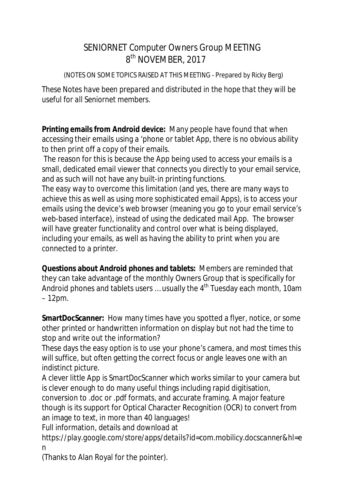## SENIORNET *Computer Owners Group* MEETING 8 8<sup>th</sup> NOVEMBER, 2017

(NOTES ON SOME TOPICS RAISED AT THIS MEETING - Prepared by Ricky Berg)

*These Notes have been prepared and distributed in the hope that they will be useful for all Seniornet members.*

**Printing emails from Android device:** Many people have found that when accessing their emails using a 'phone or tablet App, there is no obvious ability to then print off a copy of their emails.

The reason for this is because the App being used to access your emails is a small, dedicated email viewer that connects you directly to your email service, and as such will not have any built-in printing functions.

The easy way to overcome this limitation (and yes, there are many ways to achieve this as well as using more sophisticated email Apps), is to access your emails using the device's *web browser* (meaning you go to your email service's web-based interface), instead of using the dedicated mail App. The browser will have greater functionality and control over what is being displayed, including your emails, as well as having the ability to print when you are connected to a printer.

**Questions about Android phones and tablets:** Members are reminded that they can take advantage of the monthly Owners Group that is specifically for Android phones and tablets users ... usually the 4<sup>th</sup> Tuesday each month, 10am – 12pm.

**SmartDocScanner:** How many times have you spotted a flyer, notice, or some other printed or handwritten information on display but not had the time to stop and write out the information?

These days the easy option is to use your phone's camera, and most times this will suffice, but often getting the correct focus or angle leaves one with an indistinct picture.

A clever little App is *SmartDocScanner* which works similar to your camera but is clever enough to do many useful things including rapid digitisation, conversion to .doc or .pdf formats, and accurate framing. A major feature though is its support for Optical Character Recognition (OCR) to convert from an image to text, in more than 40 languages!

Full information, details and download at

*<https://play.google.com/store/apps/details?id=com.mobilicy.docscanner&hl=e> n*

(Thanks to Alan Royal for the pointer).